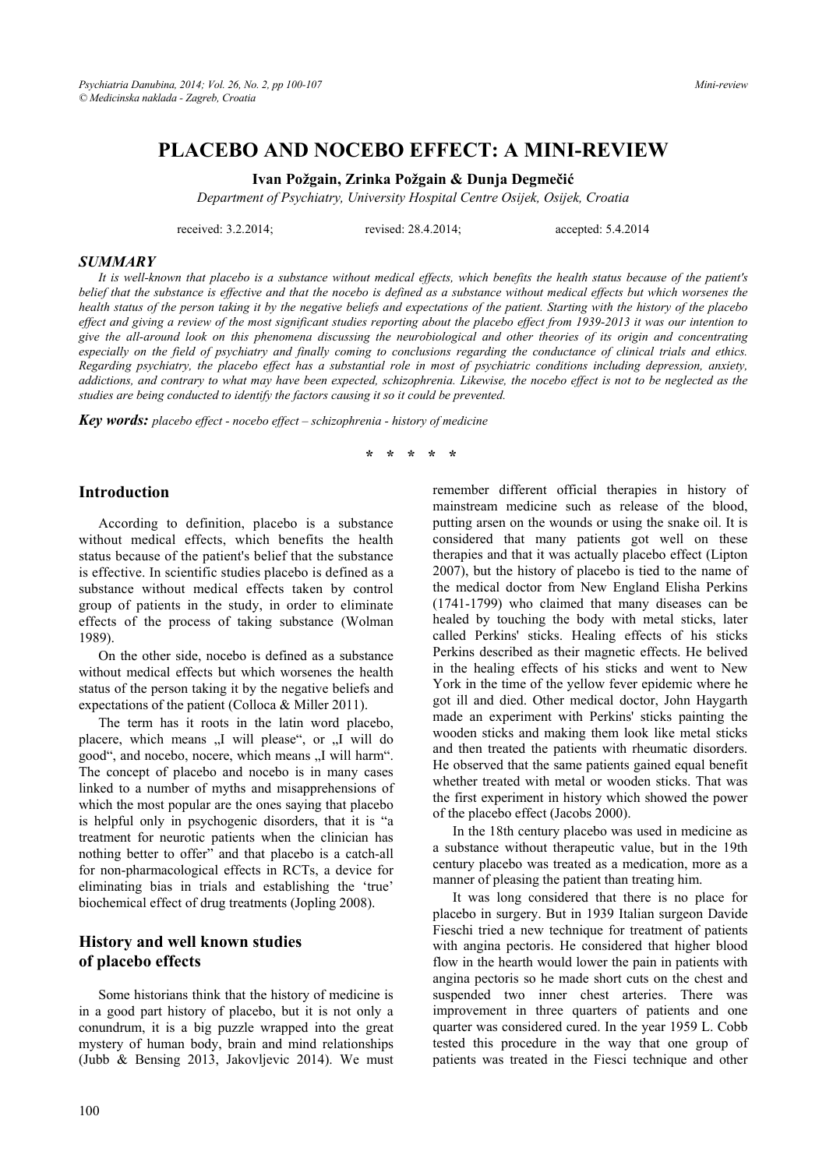# **PLACEBO AND NOCEBO EFFECT: A MINI-REVIEW**

**Ivan Požgain, Zrinka Požgain & Dunja Degmečić**

*Department of Psychiatry, University Hospital Centre Osijek, Osijek, Croatia* 

received: 3.2.2014; revised: 28.4.2014; accepted: 5.4.2014

#### *SUMMARY*

*It is well-known that placebo is a substance without medical effects, which benefits the health status because of the patient's belief that the substance is effective and that the nocebo is defined as a substance without medical effects but which worsenes the health status of the person taking it by the negative beliefs and expectations of the patient. Starting with the history of the placebo effect and giving a review of the most significant studies reporting about the placebo effect from 1939-2013 it was our intention to give the all-around look on this phenomena discussing the neurobiological and other theories of its origin and concentrating especially on the field of psychiatry and finally coming to conclusions regarding the conductance of clinical trials and ethics. Regarding psychiatry, the placebo effect has a substantial role in most of psychiatric conditions including depression, anxiety, addictions, and contrary to what may have been expected, schizophrenia. Likewise, the nocebo effect is not to be neglected as the studies are being conducted to identify the factors causing it so it could be prevented.* 

*Key words: placebo effect - nocebo effect – schizophrenia - history of medicine* 

**\* \* \* \* \*** 

### **Introduction**

According to definition, placebo is a substance without medical effects, which benefits the health status because of the patient's belief that the substance is effective. In scientific studies placebo is defined as a substance without medical effects taken by control group of patients in the study, in order to eliminate effects of the process of taking substance (Wolman 1989).

On the other side, nocebo is defined as a substance without medical effects but which worsenes the health status of the person taking it by the negative beliefs and expectations of the patient (Colloca & Miller 2011).

The term has it roots in the latin word placebo, placere, which means "I will please", or "I will do good", and nocebo, nocere, which means "I will harm". The concept of placebo and nocebo is in many cases linked to a number of myths and misapprehensions of which the most popular are the ones saying that placebo is helpful only in psychogenic disorders, that it is "a treatment for neurotic patients when the clinician has nothing better to offer" and that placebo is a catch-all for non-pharmacological effects in RCTs, a device for eliminating bias in trials and establishing the 'true' biochemical effect of drug treatments (Jopling 2008).

### **History and well known studies of placebo effects**

Some historians think that the history of medicine is in a good part history of placebo, but it is not only a conundrum, it is a big puzzle wrapped into the great mystery of human body, brain and mind relationships (Jubb & Bensing 2013, Jakovljevic 2014). We must

remember different official therapies in history of mainstream medicine such as release of the blood, putting arsen on the wounds or using the snake oil. It is considered that many patients got well on these therapies and that it was actually placebo effect (Lipton 2007), but the history of placebo is tied to the name of the medical doctor from New England Elisha Perkins (1741-1799) who claimed that many diseases can be healed by touching the body with metal sticks, later called Perkins' sticks. Healing effects of his sticks Perkins described as their magnetic effects. He belived in the healing effects of his sticks and went to New York in the time of the yellow fever epidemic where he got ill and died. Other medical doctor, John Haygarth made an experiment with Perkins' sticks painting the wooden sticks and making them look like metal sticks and then treated the patients with rheumatic disorders. He observed that the same patients gained equal benefit whether treated with metal or wooden sticks. That was the first experiment in history which showed the power of the placebo effect (Jacobs 2000).

In the 18th century placebo was used in medicine as a substance without therapeutic value, but in the 19th century placebo was treated as a medication, more as a manner of pleasing the patient than treating him.

It was long considered that there is no place for placebo in surgery. But in 1939 Italian surgeon Davide Fieschi tried a new technique for treatment of patients with angina pectoris. He considered that higher blood flow in the hearth would lower the pain in patients with angina pectoris so he made short cuts on the chest and suspended two inner chest arteries. There was improvement in three quarters of patients and one quarter was considered cured. In the year 1959 L. Cobb tested this procedure in the way that one group of patients was treated in the Fiesci technique and other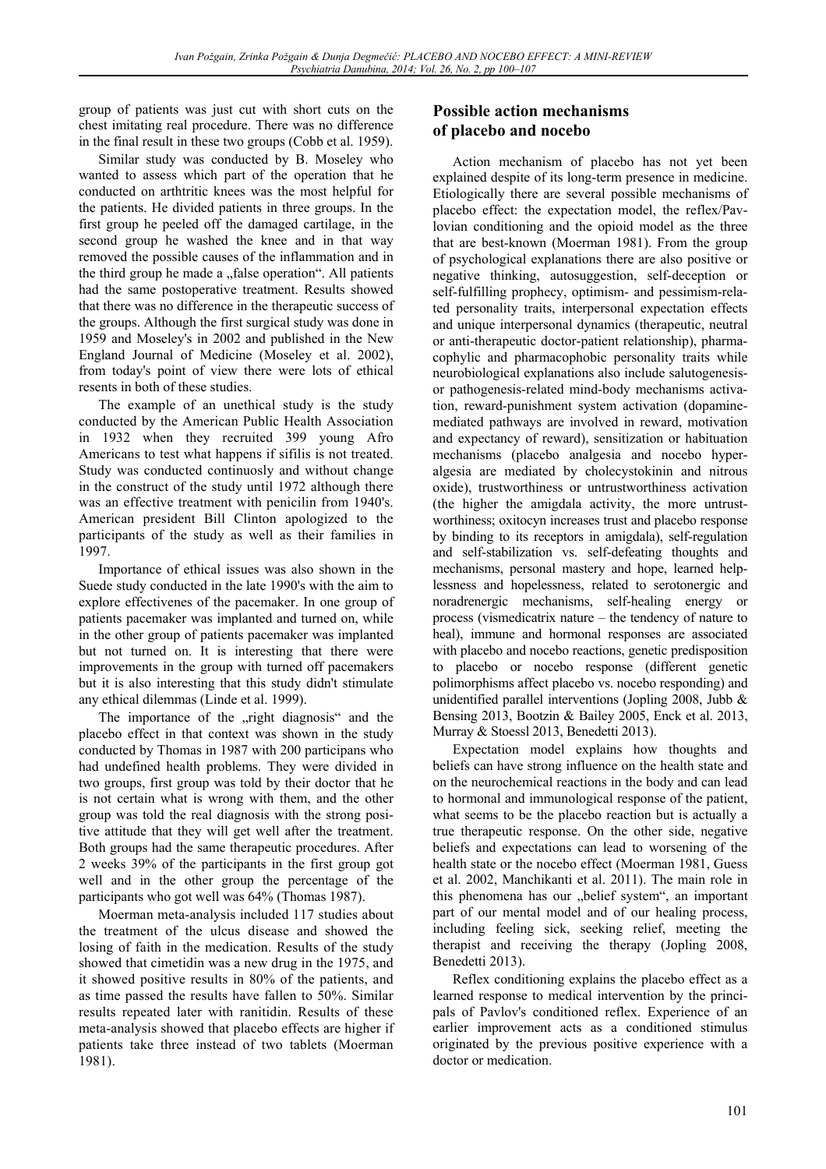group of patients was just cut with short cuts on the chest imitating real procedure. There was no difference in the final result in these two groups (Cobb et al. 1959).

Similar study was conducted by B. Moseley who wanted to assess which part of the operation that he conducted on arthtritic knees was the most helpful for the patients. He divided patients in three groups. In the first group he peeled off the damaged cartilage, in the second group he washed the knee and in that way removed the possible causes of the inflammation and in the third group he made a "false operation". All patients had the same postoperative treatment. Results showed that there was no difference in the therapeutic success of the groups. Although the first surgical study was done in 1959 and Moseley's in 2002 and published in the New England Journal of Medicine (Moseley et al. 2002), from today's point of view there were lots of ethical resents in both of these studies.

The example of an unethical study is the study conducted by the American Public Health Association in 1932 when they recruited 399 young Afro Americans to test what happens if sifilis is not treated. Study was conducted continuosly and without change in the construct of the study until 1972 although there was an effective treatment with penicilin from 1940's. American president Bill Clinton apologized to the participants of the study as well as their families in 1997.

Importance of ethical issues was also shown in the Suede study conducted in the late 1990's with the aim to explore effectivenes of the pacemaker. In one group of patients pacemaker was implanted and turned on, while in the other group of patients pacemaker was implanted but not turned on. It is interesting that there were improvements in the group with turned off pacemakers but it is also interesting that this study didn't stimulate any ethical dilemmas (Linde et al. 1999).

The importance of the "right diagnosis" and the placebo effect in that context was shown in the study conducted by Thomas in 1987 with 200 participans who had undefined health problems. They were divided in two groups, first group was told by their doctor that he is not certain what is wrong with them, and the other group was told the real diagnosis with the strong positive attitude that they will get well after the treatment. Both groups had the same therapeutic procedures. After 2 weeks 39% of the participants in the first group got well and in the other group the percentage of the participants who got well was 64% (Thomas 1987).

Moerman meta-analysis included 117 studies about the treatment of the ulcus disease and showed the losing of faith in the medication. Results of the study showed that cimetidin was a new drug in the 1975, and it showed positive results in 80% of the patients, and as time passed the results have fallen to 50%. Similar results repeated later with ranitidin. Results of these meta-analysis showed that placebo effects are higher if patients take three instead of two tablets (Moerman 1981).

# **Possible action mechanisms of placebo and nocebo**

Action mechanism of placebo has not yet been explained despite of its long-term presence in medicine. Etiologically there are several possible mechanisms of placebo effect: the expectation model, the reflex/Pavlovian conditioning and the opioid model as the three that are best-known (Moerman 1981). From the group of psychological explanations there are also positive or negative thinking, autosuggestion, self-deception or self-fulfilling prophecy, optimism- and pessimism-related personality traits, interpersonal expectation effects and unique interpersonal dynamics (therapeutic, neutral or anti-therapeutic doctor-patient relationship), pharmacophylic and pharmacophobic personality traits while neurobiological explanations also include salutogenesisor pathogenesis-related mind-body mechanisms activation, reward-punishment system activation (dopaminemediated pathways are involved in reward, motivation and expectancy of reward), sensitization or habituation mechanisms (placebo analgesia and nocebo hyperalgesia are mediated by cholecystokinin and nitrous oxide), trustworthiness or untrustworthiness activation (the higher the amigdala activity, the more untrustworthiness; oxitocyn increases trust and placebo response by binding to its receptors in amigdala), self-regulation and self-stabilization vs. self-defeating thoughts and mechanisms, personal mastery and hope, learned helplessness and hopelessness, related to serotonergic and noradrenergic mechanisms, self-healing energy or process (vismedicatrix nature – the tendency of nature to heal), immune and hormonal responses are associated with placebo and nocebo reactions, genetic predisposition to placebo or nocebo response (different genetic polimorphisms affect placebo vs. nocebo responding) and unidentified parallel interventions (Jopling 2008, Jubb & Bensing 2013, Bootzin & Bailey 2005, Enck et al. 2013, Murray & Stoessl 2013, Benedetti 2013).

Expectation model explains how thoughts and beliefs can have strong influence on the health state and on the neurochemical reactions in the body and can lead to hormonal and immunological response of the patient, what seems to be the placebo reaction but is actually a true therapeutic response. On the other side, negative beliefs and expectations can lead to worsening of the health state or the nocebo effect (Moerman 1981, Guess et al. 2002, Manchikanti et al. 2011). The main role in this phenomena has our "belief system", an important part of our mental model and of our healing process, including feeling sick, seeking relief, meeting the therapist and receiving the therapy (Jopling 2008, Benedetti 2013).

Reflex conditioning explains the placebo effect as a learned response to medical intervention by the principals of Pavlov's conditioned reflex. Experience of an earlier improvement acts as a conditioned stimulus originated by the previous positive experience with a doctor or medication.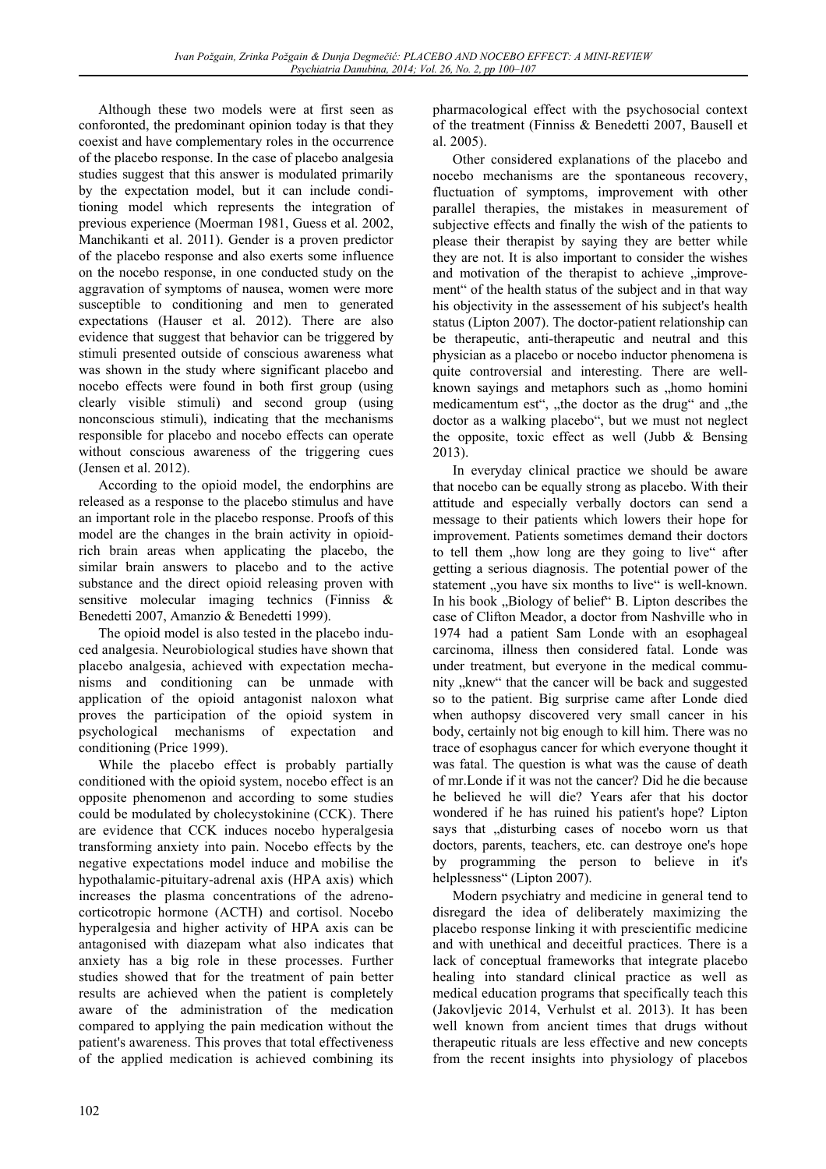Although these two models were at first seen as conforonted, the predominant opinion today is that they coexist and have complementary roles in the occurrence of the placebo response. In the case of placebo analgesia studies suggest that this answer is modulated primarily by the expectation model, but it can include conditioning model which represents the integration of previous experience (Moerman 1981, Guess et al. 2002, Manchikanti et al. 2011). Gender is a proven predictor of the placebo response and also exerts some influence on the nocebo response, in one conducted study on the aggravation of symptoms of nausea, women were more susceptible to conditioning and men to generated expectations (Hauser et al. 2012). There are also evidence that suggest that behavior can be triggered by stimuli presented outside of conscious awareness what was shown in the study where significant placebo and nocebo effects were found in both first group (using clearly visible stimuli) and second group (using nonconscious stimuli), indicating that the mechanisms responsible for placebo and nocebo effects can operate without conscious awareness of the triggering cues (Jensen et al. 2012).

According to the opioid model, the endorphins are released as a response to the placebo stimulus and have an important role in the placebo response. Proofs of this model are the changes in the brain activity in opioidrich brain areas when applicating the placebo, the similar brain answers to placebo and to the active substance and the direct opioid releasing proven with sensitive molecular imaging technics (Finniss & Benedetti 2007, Amanzio & Benedetti 1999).

The opioid model is also tested in the placebo induced analgesia. Neurobiological studies have shown that placebo analgesia, achieved with expectation mechanisms and conditioning can be unmade with application of the opioid antagonist naloxon what proves the participation of the opioid system in psychological mechanisms of expectation and conditioning (Price 1999).

While the placebo effect is probably partially conditioned with the opioid system, nocebo effect is an opposite phenomenon and according to some studies could be modulated by cholecystokinine (CCK). There are evidence that CCK induces nocebo hyperalgesia transforming anxiety into pain. Nocebo effects by the negative expectations model induce and mobilise the hypothalamic-pituitary-adrenal axis (HPA axis) which increases the plasma concentrations of the adrenocorticotropic hormone (ACTH) and cortisol. Nocebo hyperalgesia and higher activity of HPA axis can be antagonised with diazepam what also indicates that anxiety has a big role in these processes. Further studies showed that for the treatment of pain better results are achieved when the patient is completely aware of the administration of the medication compared to applying the pain medication without the patient's awareness. This proves that total effectiveness of the applied medication is achieved combining its

pharmacological effect with the psychosocial context of the treatment (Finniss & Benedetti 2007, Bausell et al. 2005).

Other considered explanations of the placebo and nocebo mechanisms are the spontaneous recovery, fluctuation of symptoms, improvement with other parallel therapies, the mistakes in measurement of subjective effects and finally the wish of the patients to please their therapist by saying they are better while they are not. It is also important to consider the wishes and motivation of the therapist to achieve "improvement" of the health status of the subject and in that way his objectivity in the assessement of his subject's health status (Lipton 2007). The doctor-patient relationship can be therapeutic, anti-therapeutic and neutral and this physician as a placebo or nocebo inductor phenomena is quite controversial and interesting. There are wellknown sayings and metaphors such as "homo homini medicamentum est", "the doctor as the drug" and "the doctor as a walking placebo", but we must not neglect the opposite, toxic effect as well (Jubb & Bensing 2013).

In everyday clinical practice we should be aware that nocebo can be equally strong as placebo. With their attitude and especially verbally doctors can send a message to their patients which lowers their hope for improvement. Patients sometimes demand their doctors to tell them "how long are they going to live" after getting a serious diagnosis. The potential power of the statement "you have six months to live" is well-known. In his book  $n$ , Biology of belief" B. Lipton describes the case of Clifton Meador, a doctor from Nashville who in 1974 had a patient Sam Londe with an esophageal carcinoma, illness then considered fatal. Londe was under treatment, but everyone in the medical community "knew" that the cancer will be back and suggested so to the patient. Big surprise came after Londe died when authopsy discovered very small cancer in his body, certainly not big enough to kill him. There was no trace of esophagus cancer for which everyone thought it was fatal. The question is what was the cause of death of mr.Londe if it was not the cancer? Did he die because he believed he will die? Years afer that his doctor wondered if he has ruined his patient's hope? Lipton says that  $\alpha$ , disturbing cases of nocebo worn us that doctors, parents, teachers, etc. can destroye one's hope by programming the person to believe in it's helplessness" (Lipton 2007).

Modern psychiatry and medicine in general tend to disregard the idea of deliberately maximizing the placebo response linking it with prescientific medicine and with unethical and deceitful practices. There is a lack of conceptual frameworks that integrate placebo healing into standard clinical practice as well as medical education programs that specifically teach this (Jakovljevic 2014, Verhulst et al. 2013). It has been well known from ancient times that drugs without therapeutic rituals are less effective and new concepts from the recent insights into physiology of placebos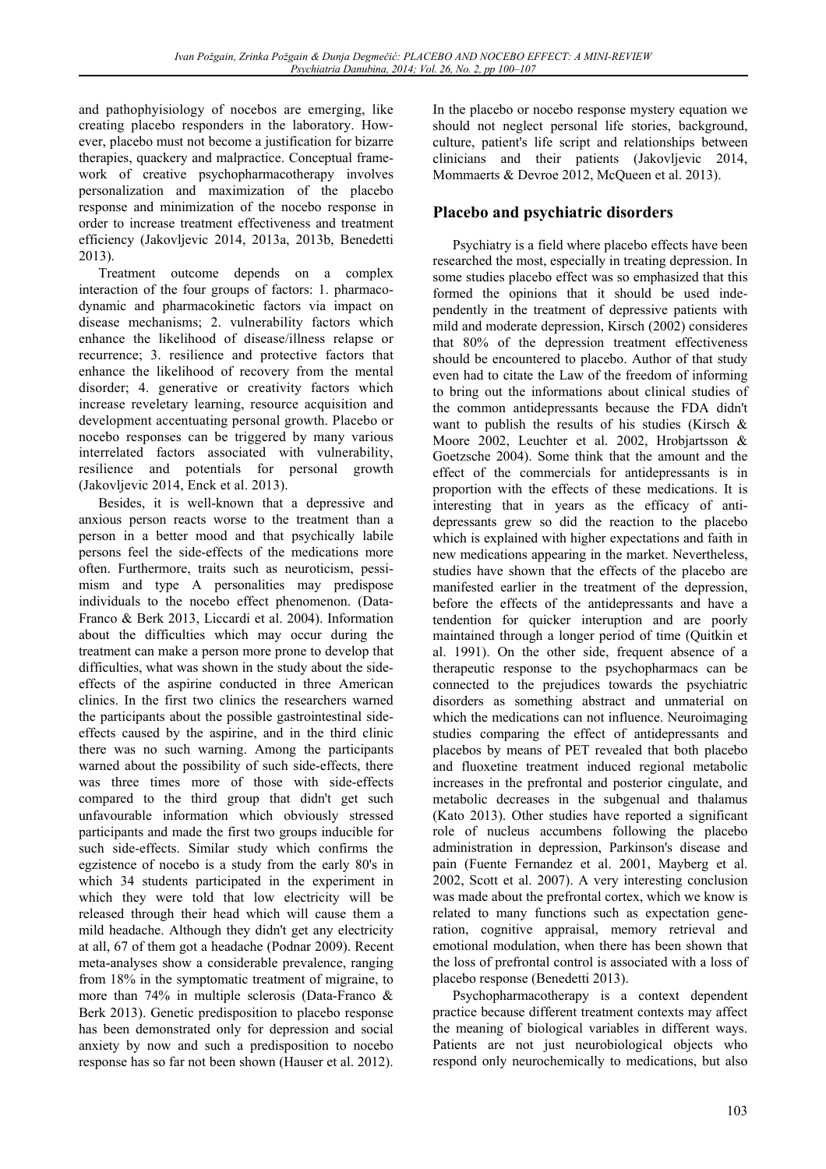and pathophyisiology of nocebos are emerging, like creating placebo responders in the laboratory. However, placebo must not become a justification for bizarre therapies, quackery and malpractice. Conceptual framework of creative psychopharmacotherapy involves personalization and maximization of the placebo response and minimization of the nocebo response in order to increase treatment effectiveness and treatment efficiency (Jakovljevic 2014, 2013a, 2013b, Benedetti 2013).

Treatment outcome depends on a complex interaction of the four groups of factors: 1. pharmacodynamic and pharmacokinetic factors via impact on disease mechanisms; 2. vulnerability factors which enhance the likelihood of disease/illness relapse or recurrence; 3. resilience and protective factors that enhance the likelihood of recovery from the mental disorder; 4. generative or creativity factors which increase reveletary learning, resource acquisition and development accentuating personal growth. Placebo or nocebo responses can be triggered by many various interrelated factors associated with vulnerability, resilience and potentials for personal growth (Jakovljevic 2014, Enck et al. 2013).

Besides, it is well-known that a depressive and anxious person reacts worse to the treatment than a person in a better mood and that psychically labile persons feel the side-effects of the medications more often. Furthermore, traits such as neuroticism, pessimism and type A personalities may predispose individuals to the nocebo effect phenomenon. (Data-Franco & Berk 2013, Liccardi et al. 2004). Information about the difficulties which may occur during the treatment can make a person more prone to develop that difficulties, what was shown in the study about the sideeffects of the aspirine conducted in three American clinics. In the first two clinics the researchers warned the participants about the possible gastrointestinal sideeffects caused by the aspirine, and in the third clinic there was no such warning. Among the participants warned about the possibility of such side-effects, there was three times more of those with side-effects compared to the third group that didn't get such unfavourable information which obviously stressed participants and made the first two groups inducible for such side-effects. Similar study which confirms the egzistence of nocebo is a study from the early 80's in which 34 students participated in the experiment in which they were told that low electricity will be released through their head which will cause them a mild headache. Although they didn't get any electricity at all, 67 of them got a headache (Podnar 2009). Recent meta-analyses show a considerable prevalence, ranging from 18% in the symptomatic treatment of migraine, to more than 74% in multiple sclerosis (Data-Franco & Berk 2013). Genetic predisposition to placebo response has been demonstrated only for depression and social anxiety by now and such a predisposition to nocebo response has so far not been shown (Hauser et al. 2012).

In the placebo or nocebo response mystery equation we should not neglect personal life stories, background, culture, patient's life script and relationships between clinicians and their patients (Jakovljevic 2014, Mommaerts & Devroe 2012, McQueen et al. 2013).

# **Placebo and psychiatric disorders**

Psychiatry is a field where placebo effects have been researched the most, especially in treating depression. In some studies placebo effect was so emphasized that this formed the opinions that it should be used independently in the treatment of depressive patients with mild and moderate depression, Kirsch (2002) consideres that 80% of the depression treatment effectiveness should be encountered to placebo. Author of that study even had to citate the Law of the freedom of informing to bring out the informations about clinical studies of the common antidepressants because the FDA didn't want to publish the results of his studies (Kirsch & Moore 2002, Leuchter et al. 2002, Hrobjartsson & Goetzsche 2004). Some think that the amount and the effect of the commercials for antidepressants is in proportion with the effects of these medications. It is interesting that in years as the efficacy of antidepressants grew so did the reaction to the placebo which is explained with higher expectations and faith in new medications appearing in the market. Nevertheless, studies have shown that the effects of the placebo are manifested earlier in the treatment of the depression, before the effects of the antidepressants and have a tendention for quicker interuption and are poorly maintained through a longer period of time (Quitkin et al. 1991). On the other side, frequent absence of a therapeutic response to the psychopharmacs can be connected to the prejudices towards the psychiatric disorders as something abstract and unmaterial on which the medications can not influence. Neuroimaging studies comparing the effect of antidepressants and placebos by means of PET revealed that both placebo and fluoxetine treatment induced regional metabolic increases in the prefrontal and posterior cingulate, and metabolic decreases in the subgenual and thalamus (Kato 2013). Other studies have reported a significant role of nucleus accumbens following the placebo administration in depression, Parkinson's disease and pain (Fuente Fernandez et al. 2001, Mayberg et al. 2002, Scott et al. 2007). A very interesting conclusion was made about the prefrontal cortex, which we know is related to many functions such as expectation generation, cognitive appraisal, memory retrieval and emotional modulation, when there has been shown that the loss of prefrontal control is associated with a loss of placebo response (Benedetti 2013).

Psychopharmacotherapy is a context dependent practice because different treatment contexts may affect the meaning of biological variables in different ways. Patients are not just neurobiological objects who respond only neurochemically to medications, but also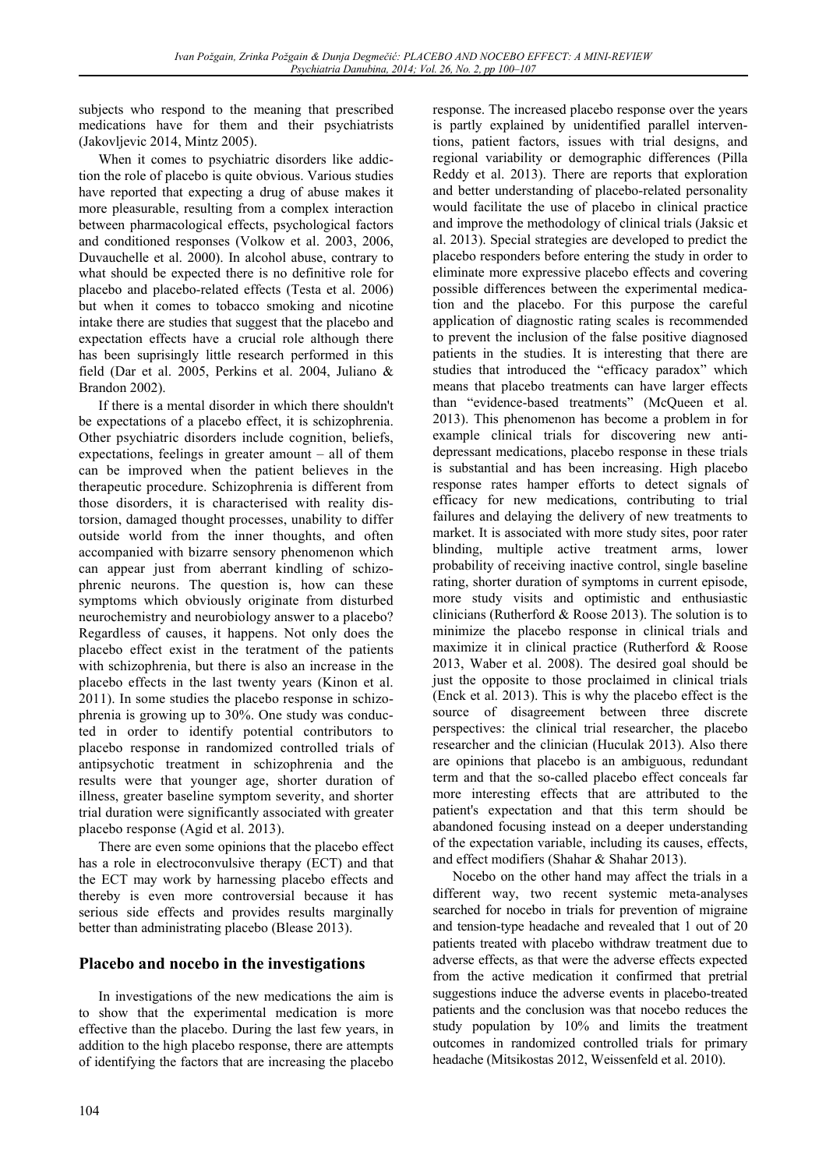subjects who respond to the meaning that prescribed medications have for them and their psychiatrists (Jakovljevic 2014, Mintz 2005).

When it comes to psychiatric disorders like addiction the role of placebo is quite obvious. Various studies have reported that expecting a drug of abuse makes it more pleasurable, resulting from a complex interaction between pharmacological effects, psychological factors and conditioned responses (Volkow et al. 2003, 2006, Duvauchelle et al. 2000). In alcohol abuse, contrary to what should be expected there is no definitive role for placebo and placebo-related effects (Testa et al. 2006) but when it comes to tobacco smoking and nicotine intake there are studies that suggest that the placebo and expectation effects have a crucial role although there has been suprisingly little research performed in this field (Dar et al. 2005, Perkins et al. 2004, Juliano & Brandon 2002).

If there is a mental disorder in which there shouldn't be expectations of a placebo effect, it is schizophrenia. Other psychiatric disorders include cognition, beliefs, expectations, feelings in greater amount – all of them can be improved when the patient believes in the therapeutic procedure. Schizophrenia is different from those disorders, it is characterised with reality distorsion, damaged thought processes, unability to differ outside world from the inner thoughts, and often accompanied with bizarre sensory phenomenon which can appear just from aberrant kindling of schizophrenic neurons. The question is, how can these symptoms which obviously originate from disturbed neurochemistry and neurobiology answer to a placebo? Regardless of causes, it happens. Not only does the placebo effect exist in the teratment of the patients with schizophrenia, but there is also an increase in the placebo effects in the last twenty years (Kinon et al. 2011). In some studies the placebo response in schizophrenia is growing up to 30%. One study was conducted in order to identify potential contributors to placebo response in randomized controlled trials of antipsychotic treatment in schizophrenia and the results were that younger age, shorter duration of illness, greater baseline symptom severity, and shorter trial duration were significantly associated with greater placebo response (Agid et al. 2013).

There are even some opinions that the placebo effect has a role in electroconvulsive therapy (ECT) and that the ECT may work by harnessing placebo effects and thereby is even more controversial because it has serious side effects and provides results marginally better than administrating placebo (Blease 2013).

# **Placebo and nocebo in the investigations**

In investigations of the new medications the aim is to show that the experimental medication is more effective than the placebo. During the last few years, in addition to the high placebo response, there are attempts of identifying the factors that are increasing the placebo

response. The increased placebo response over the years is partly explained by unidentified parallel interventions, patient factors, issues with trial designs, and regional variability or demographic differences (Pilla Reddy et al. 2013). There are reports that exploration and better understanding of placebo-related personality would facilitate the use of placebo in clinical practice and improve the methodology of clinical trials (Jaksic et al. 2013). Special strategies are developed to predict the placebo responders before entering the study in order to eliminate more expressive placebo effects and covering possible differences between the experimental medication and the placebo. For this purpose the careful application of diagnostic rating scales is recommended to prevent the inclusion of the false positive diagnosed patients in the studies. It is interesting that there are studies that introduced the "efficacy paradox" which means that placebo treatments can have larger effects than "evidence-based treatments" (McQueen et al. 2013). This phenomenon has become a problem in for example clinical trials for discovering new antidepressant medications, placebo response in these trials is substantial and has been increasing. High placebo response rates hamper efforts to detect signals of efficacy for new medications, contributing to trial failures and delaying the delivery of new treatments to market. It is associated with more study sites, poor rater blinding, multiple active treatment arms, lower probability of receiving inactive control, single baseline rating, shorter duration of symptoms in current episode, more study visits and optimistic and enthusiastic clinicians (Rutherford & Roose 2013). The solution is to minimize the placebo response in clinical trials and maximize it in clinical practice (Rutherford & Roose 2013, Waber et al. 2008). The desired goal should be just the opposite to those proclaimed in clinical trials (Enck et al. 2013). This is why the placebo effect is the source of disagreement between three discrete perspectives: the clinical trial researcher, the placebo researcher and the clinician (Huculak 2013). Also there are opinions that placebo is an ambiguous, redundant term and that the so-called placebo effect conceals far more interesting effects that are attributed to the patient's expectation and that this term should be abandoned focusing instead on a deeper understanding of the expectation variable, including its causes, effects, and effect modifiers (Shahar & Shahar 2013).

Nocebo on the other hand may affect the trials in a different way, two recent systemic meta-analyses searched for nocebo in trials for prevention of migraine and tension-type headache and revealed that 1 out of 20 patients treated with placebo withdraw treatment due to adverse effects, as that were the adverse effects expected from the active medication it confirmed that pretrial suggestions induce the adverse events in placebo-treated patients and the conclusion was that nocebo reduces the study population by 10% and limits the treatment outcomes in randomized controlled trials for primary headache (Mitsikostas 2012, Weissenfeld et al. 2010).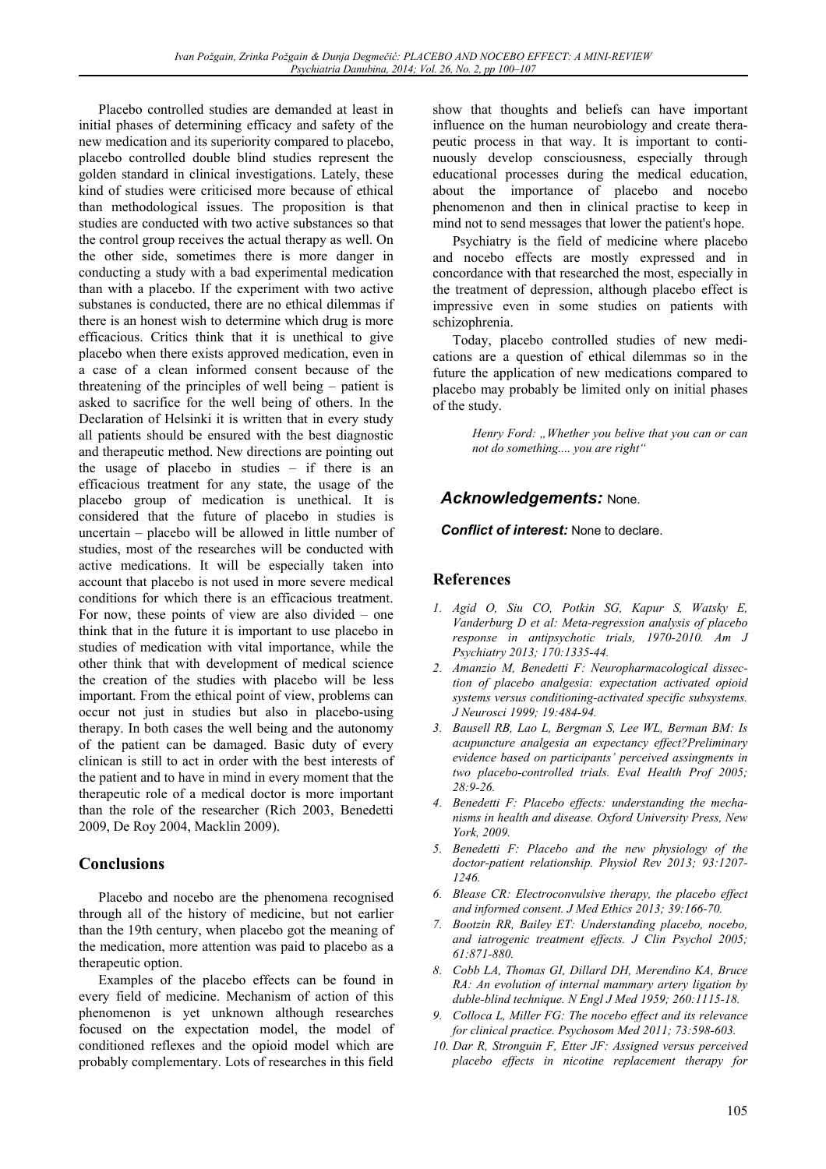Placebo controlled studies are demanded at least in initial phases of determining efficacy and safety of the new medication and its superiority compared to placebo, placebo controlled double blind studies represent the golden standard in clinical investigations. Lately, these kind of studies were criticised more because of ethical than methodological issues. The proposition is that studies are conducted with two active substances so that the control group receives the actual therapy as well. On the other side, sometimes there is more danger in conducting a study with a bad experimental medication than with a placebo. If the experiment with two active substanes is conducted, there are no ethical dilemmas if there is an honest wish to determine which drug is more efficacious. Critics think that it is unethical to give placebo when there exists approved medication, even in a case of a clean informed consent because of the threatening of the principles of well being – patient is asked to sacrifice for the well being of others. In the Declaration of Helsinki it is written that in every study all patients should be ensured with the best diagnostic and therapeutic method. New directions are pointing out the usage of placebo in studies – if there is an efficacious treatment for any state, the usage of the placebo group of medication is unethical. It is considered that the future of placebo in studies is uncertain – placebo will be allowed in little number of studies, most of the researches will be conducted with active medications. It will be especially taken into account that placebo is not used in more severe medical conditions for which there is an efficacious treatment. For now, these points of view are also divided – one think that in the future it is important to use placebo in studies of medication with vital importance, while the other think that with development of medical science the creation of the studies with placebo will be less important. From the ethical point of view, problems can occur not just in studies but also in placebo-using therapy. In both cases the well being and the autonomy of the patient can be damaged. Basic duty of every clinican is still to act in order with the best interests of the patient and to have in mind in every moment that the therapeutic role of a medical doctor is more important than the role of the researcher (Rich 2003, Benedetti 2009, De Roy 2004, Macklin 2009).

### **Conclusions**

Placebo and nocebo are the phenomena recognised through all of the history of medicine, but not earlier than the 19th century, when placebo got the meaning of the medication, more attention was paid to placebo as a therapeutic option.

Examples of the placebo effects can be found in every field of medicine. Mechanism of action of this phenomenon is yet unknown although researches focused on the expectation model, the model of conditioned reflexes and the opioid model which are probably complementary. Lots of researches in this field show that thoughts and beliefs can have important influence on the human neurobiology and create therapeutic process in that way. It is important to continuously develop consciousness, especially through educational processes during the medical education, about the importance of placebo and nocebo phenomenon and then in clinical practise to keep in mind not to send messages that lower the patient's hope.

Psychiatry is the field of medicine where placebo and nocebo effects are mostly expressed and in concordance with that researched the most, especially in the treatment of depression, although placebo effect is impressive even in some studies on patients with schizophrenia.

Today, placebo controlled studies of new medications are a question of ethical dilemmas so in the future the application of new medications compared to placebo may probably be limited only on initial phases of the study.

> *Henry Ford: "Whether you belive that you can or can not do something.... you are right"*

## *Acknowledgements:* None.

*Conflict of interest:* None to declare.

### **References**

- *1. Agid O, Siu CO, Potkin SG, Kapur S, Watsky E, Vanderburg D et al: Meta-regression analysis of placebo response in antipsychotic trials, 1970-2010. Am J Psychiatry 2013; 170:1335-44.*
- *2. Amanzio M, Benedetti F: Neuropharmacological dissection of placebo analgesia: expectation activated opioid systems versus conditioning-activated specific subsystems. J Neurosci 1999; 19:484-94.*
- *3. Bausell RB, Lao L, Bergman S, Lee WL, Berman BM: Is acupuncture analgesia an expectancy effect?Preliminary evidence based on participants' perceived assingments in two placebo-controlled trials. Eval Health Prof 2005; 28:9-26.*
- *4. Benedetti F: Placebo effects: understanding the mechanisms in health and disease. Oxford University Press, New York, 2009.*
- *5. Benedetti F: Placebo and the new physiology of the doctor-patient relationship. Physiol Rev 2013; 93:1207- 1246.*
- *6. Blease CR: Electroconvulsive therapy, the placebo effect and informed consent. J Med Ethics 2013; 39:166-70.*
- *7. Bootzin RR, Bailey ET: Understanding placebo, nocebo, and iatrogenic treatment effects. J Clin Psychol 2005; 61:871-880.*
- *8. Cobb LA, Thomas GI, Dillard DH, Merendino KA, Bruce RA: An evolution of internal mammary artery ligation by duble-blind technique. N Engl J Med 1959; 260:1115-18.*
- *9. Colloca L, Miller FG: The nocebo effect and its relevance for clinical practice. Psychosom Med 2011; 73:598-603.*
- *10. Dar R, Stronguin F, Etter JF: Assigned versus perceived placebo effects in nicotine replacement therapy for*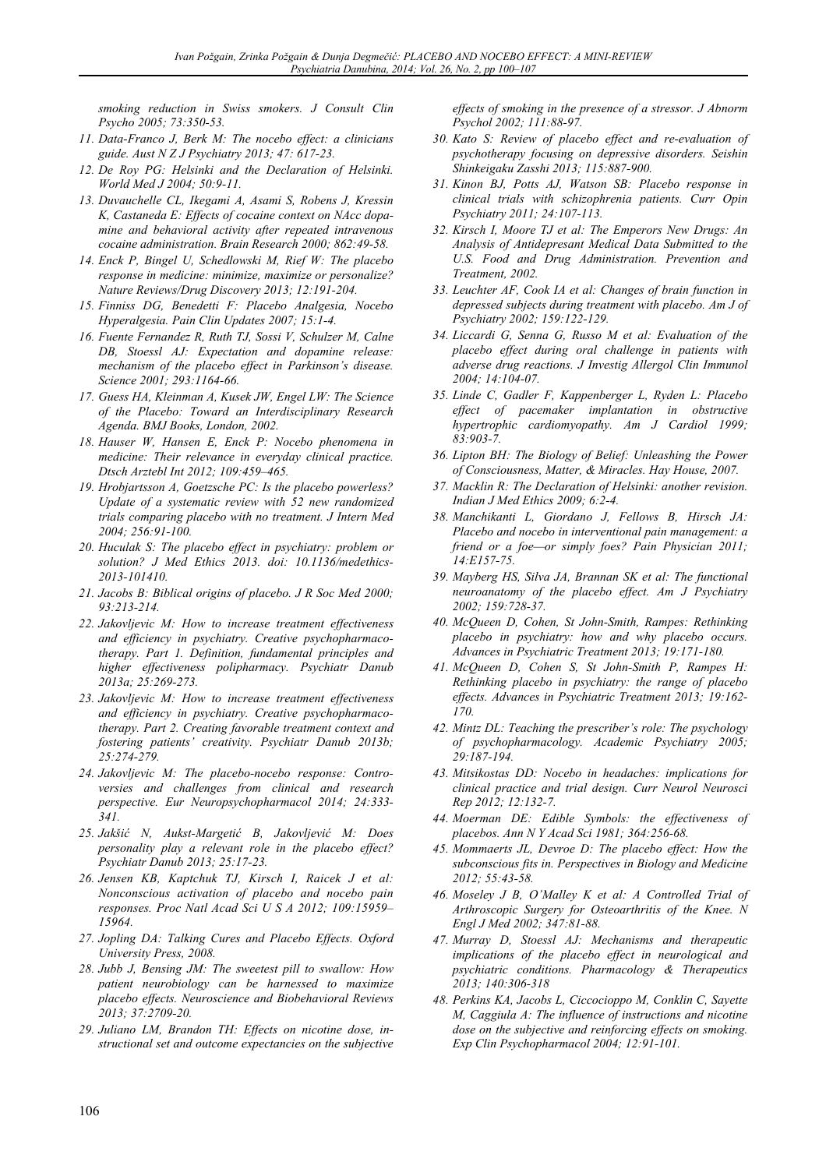*smoking reduction in Swiss smokers. J Consult Clin Psycho 2005; 73:350-53.* 

- *11. Data-Franco J, Berk M: The nocebo effect: a clinicians guide. Aust N Z J Psychiatry 2013; 47: 617-23.*
- *12. De Roy PG: Helsinki and the Declaration of Helsinki. World Med J 2004; 50:9-11.*
- *13. Duvauchelle CL, Ikegami A, Asami S, Robens J, Kressin K, Castaneda E: Effects of cocaine context on NAcc dopamine and behavioral activity after repeated intravenous cocaine administration. Brain Research 2000; 862:49-58.*
- *14. Enck P, Bingel U, Schedlowski M, Rief W: The placebo response in medicine: minimize, maximize or personalize? Nature Reviews/Drug Discovery 2013; 12:191-204.*
- *15. Finniss DG, Benedetti F: Placebo Analgesia, Nocebo Hyperalgesia. Pain Clin Updates 2007; 15:1-4.*
- *16. Fuente Fernandez R, Ruth TJ, Sossi V, Schulzer M, Calne DB, Stoessl AJ: Expectation and dopamine release: mechanism of the placebo effect in Parkinson's disease. Science 2001; 293:1164-66.*
- *17. Guess HA, Kleinman A, Kusek JW, Engel LW: The Science of the Placebo: Toward an Interdisciplinary Research Agenda. BMJ Books, London, 2002.*
- *18. Hauser W, Hansen E, Enck P: Nocebo phenomena in medicine: Their relevance in everyday clinical practice. Dtsch Arztebl Int 2012; 109:459–465.*
- *19. Hrobjartsson A, Goetzsche PC: Is the placebo powerless? Update of a systematic review with 52 new randomized trials comparing placebo with no treatment. J Intern Med 2004; 256:91-100.*
- *20. Huculak S: The placebo effect in psychiatry: problem or solution? J Med Ethics 2013. doi: 10.1136/medethics-2013-101410.*
- *21. Jacobs B: Biblical origins of placebo. J R Soc Med 2000; 93:213-214.*
- *22. Jakovljevic M: How to increase treatment effectiveness and efficiency in psychiatry. Creative psychopharmacotherapy. Part 1. Definition, fundamental principles and higher effectiveness polipharmacy. Psychiatr Danub 2013a; 25:269-273.*
- *23. Jakovljevic M: How to increase treatment effectiveness and efficiency in psychiatry. Creative psychopharmacotherapy. Part 2. Creating favorable treatment context and fostering patients' creativity. Psychiatr Danub 2013b; 25:274-279.*
- *24. Jakovljevic M: The placebo-nocebo response: Controversies and challenges from clinical and research perspective. Eur Neuropsychopharmacol 2014; 24:333- 341.*
- *25. Jakšić N, Aukst-Margetić B, Jakovljević M: Does personality play a relevant role in the placebo effect? Psychiatr Danub 2013; 25:17-23.*
- *26. Jensen KB, Kaptchuk TJ, Kirsch I, Raicek J et al: Nonconscious activation of placebo and nocebo pain responses. Proc Natl Acad Sci U S A 2012; 109:15959– 15964.*
- *27. Jopling DA: Talking Cures and Placebo Effects. Oxford University Press, 2008.*
- *28. Jubb J, Bensing JM: The sweetest pill to swallow: How patient neurobiology can be harnessed to maximize placebo effects. Neuroscience and Biobehavioral Reviews 2013; 37:2709-20.*
- *29. Juliano LM, Brandon TH: Effects on nicotine dose, instructional set and outcome expectancies on the subjective*

*effects of smoking in the presence of a stressor. J Abnorm Psychol 2002; 111:88-97.* 

- *30. Kato S: Review of placebo effect and re-evaluation of psychotherapy focusing on depressive disorders. Seishin Shinkeigaku Zasshi 2013; 115:887-900.*
- *31. Kinon BJ, Potts AJ, Watson SB: Placebo response in clinical trials with schizophrenia patients. Curr Opin Psychiatry 2011; 24:107-113.*
- *32. Kirsch I, Moore TJ et al: The Emperors New Drugs: An Analysis of Antidepresant Medical Data Submitted to the U.S. Food and Drug Administration. Prevention and Treatment, 2002.*
- *33. Leuchter AF, Cook IA et al: Changes of brain function in depressed subjects during treatment with placebo. Am J of Psychiatry 2002; 159:122-129.*
- *34. Liccardi G, Senna G, Russo M et al: Evaluation of the placebo effect during oral challenge in patients with adverse drug reactions. J Investig Allergol Clin Immunol 2004; 14:104-07.*
- *35. Linde C, Gadler F, Kappenberger L, Ryden L: Placebo effect of pacemaker implantation in obstructive hypertrophic cardiomyopathy. Am J Cardiol 1999; 83:903-7.*
- *36. Lipton BH: The Biology of Belief: Unleashing the Power of Consciousness, Matter, & Miracles. Hay House, 2007.*
- *37. Macklin R: The Declaration of Helsinki: another revision. Indian J Med Ethics 2009; 6:2-4.*
- *38. Manchikanti L, Giordano J, Fellows B, Hirsch JA: Placebo and nocebo in interventional pain management: a friend or a foe—or simply foes? Pain Physician 2011; 14:E157-75.*
- *39. Mayberg HS, Silva JA, Brannan SK et al: The functional neuroanatomy of the placebo effect. Am J Psychiatry 2002; 159:728-37.*
- *40. McQueen D, Cohen, St John-Smith, Rampes: Rethinking placebo in psychiatry: how and why placebo occurs. Advances in Psychiatric Treatment 2013; 19:171-180.*
- *41. McQueen D, Cohen S, St John-Smith P, Rampes H: Rethinking placebo in psychiatry: the range of placebo effects. Advances in Psychiatric Treatment 2013; 19:162- 170.*
- *42. Mintz DL: Teaching the prescriber's role: The psychology of psychopharmacology. Academic Psychiatry 2005; 29:187-194.*
- *43. Mitsikostas DD: Nocebo in headaches: implications for clinical practice and trial design. Curr Neurol Neurosci Rep 2012; 12:132-7.*
- *44. Moerman DE: Edible Symbols: the effectiveness of placebos. Ann N Y Acad Sci 1981; 364:256-68.*
- *45. Mommaerts JL, Devroe D: The placebo effect: How the subconscious fits in. Perspectives in Biology and Medicine 2012; 55:43-58.*
- *46. Moseley J B, O'Malley K et al: A Controlled Trial of Arthroscopic Surgery for Osteoarthritis of the Knee. N Engl J Med 2002; 347:81-88.*
- *47. Murray D, Stoessl AJ: Mechanisms and therapeutic implications of the placebo effect in neurological and psychiatric conditions. Pharmacology & Therapeutics 2013; 140:306-318*
- *48. Perkins KA, Jacobs L, Ciccocioppo M, Conklin C, Sayette M, Caggiula A: The influence of instructions and nicotine dose on the subjective and reinforcing effects on smoking. Exp Clin Psychopharmacol 2004; 12:91-101.*